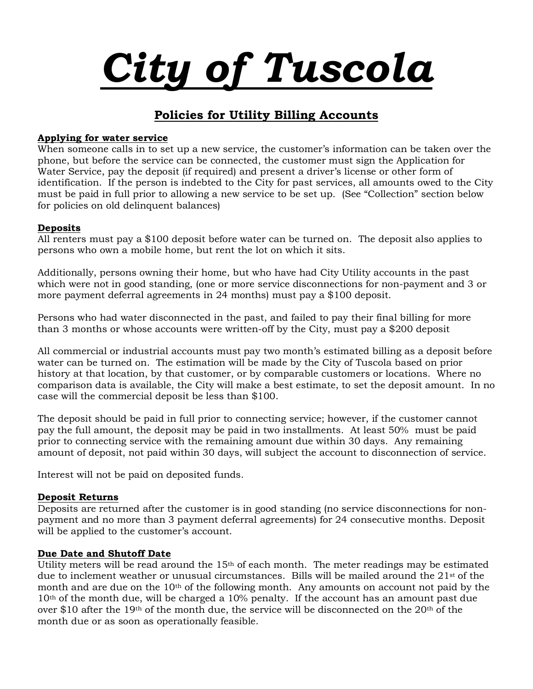

# Policies for Utility Billing Accounts

#### Applying for water service

When someone calls in to set up a new service, the customer's information can be taken over the phone, but before the service can be connected, the customer must sign the Application for Water Service, pay the deposit (if required) and present a driver's license or other form of identification. If the person is indebted to the City for past services, all amounts owed to the City must be paid in full prior to allowing a new service to be set up. (See "Collection" section below for policies on old delinquent balances)

## **Deposits**

All renters must pay a \$100 deposit before water can be turned on. The deposit also applies to persons who own a mobile home, but rent the lot on which it sits.

Additionally, persons owning their home, but who have had City Utility accounts in the past which were not in good standing, (one or more service disconnections for non-payment and 3 or more payment deferral agreements in 24 months) must pay a \$100 deposit.

Persons who had water disconnected in the past, and failed to pay their final billing for more than 3 months or whose accounts were written-off by the City, must pay a \$200 deposit

All commercial or industrial accounts must pay two month's estimated billing as a deposit before water can be turned on. The estimation will be made by the City of Tuscola based on prior history at that location, by that customer, or by comparable customers or locations. Where no comparison data is available, the City will make a best estimate, to set the deposit amount. In no case will the commercial deposit be less than \$100.

The deposit should be paid in full prior to connecting service; however, if the customer cannot pay the full amount, the deposit may be paid in two installments. At least 50% must be paid prior to connecting service with the remaining amount due within 30 days. Any remaining amount of deposit, not paid within 30 days, will subject the account to disconnection of service.

Interest will not be paid on deposited funds.

#### Deposit Returns

Deposits are returned after the customer is in good standing (no service disconnections for nonpayment and no more than 3 payment deferral agreements) for 24 consecutive months. Deposit will be applied to the customer's account.

#### Due Date and Shutoff Date

Utility meters will be read around the 15<sup>th</sup> of each month. The meter readings may be estimated due to inclement weather or unusual circumstances. Bills will be mailed around the  $21<sup>st</sup>$  of the month and are due on the 10<sup>th</sup> of the following month. Any amounts on account not paid by the 10th of the month due, will be charged a 10% penalty. If the account has an amount past due over \$10 after the 19<sup>th</sup> of the month due, the service will be disconnected on the  $20<sup>th</sup>$  of the month due or as soon as operationally feasible.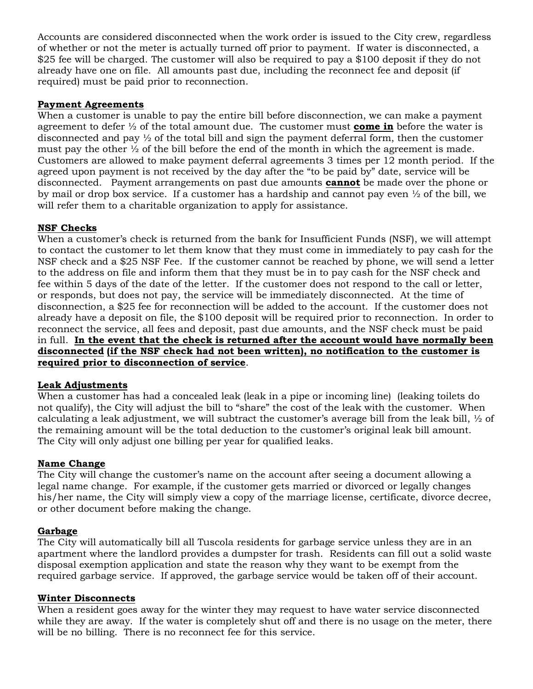Accounts are considered disconnected when the work order is issued to the City crew, regardless of whether or not the meter is actually turned off prior to payment. If water is disconnected, a \$25 fee will be charged. The customer will also be required to pay a \$100 deposit if they do not already have one on file. All amounts past due, including the reconnect fee and deposit (if required) must be paid prior to reconnection.

#### Payment Agreements

When a customer is unable to pay the entire bill before disconnection, we can make a payment agreement to defer  $\frac{1}{2}$  of the total amount due. The customer must **come in** before the water is disconnected and pay ½ of the total bill and sign the payment deferral form, then the customer must pay the other  $\frac{1}{2}$  of the bill before the end of the month in which the agreement is made. Customers are allowed to make payment deferral agreements 3 times per 12 month period. If the agreed upon payment is not received by the day after the "to be paid by" date, service will be disconnected. Payment arrangements on past due amounts **cannot** be made over the phone or by mail or drop box service. If a customer has a hardship and cannot pay even ½ of the bill, we will refer them to a charitable organization to apply for assistance.

# NSF Checks

When a customer's check is returned from the bank for Insufficient Funds (NSF), we will attempt to contact the customer to let them know that they must come in immediately to pay cash for the NSF check and a \$25 NSF Fee. If the customer cannot be reached by phone, we will send a letter to the address on file and inform them that they must be in to pay cash for the NSF check and fee within 5 days of the date of the letter. If the customer does not respond to the call or letter, or responds, but does not pay, the service will be immediately disconnected. At the time of disconnection, a \$25 fee for reconnection will be added to the account. If the customer does not already have a deposit on file, the \$100 deposit will be required prior to reconnection. In order to reconnect the service, all fees and deposit, past due amounts, and the NSF check must be paid in full. In the event that the check is returned after the account would have normally been disconnected (if the NSF check had not been written), no notification to the customer is required prior to disconnection of service.

## Leak Adjustments

When a customer has had a concealed leak (leak in a pipe or incoming line) (leaking toilets do not qualify), the City will adjust the bill to "share" the cost of the leak with the customer. When calculating a leak adjustment, we will subtract the customer's average bill from the leak bill,  $\frac{1}{2}$  of the remaining amount will be the total deduction to the customer's original leak bill amount. The City will only adjust one billing per year for qualified leaks.

## Name Change

The City will change the customer's name on the account after seeing a document allowing a legal name change. For example, if the customer gets married or divorced or legally changes his/her name, the City will simply view a copy of the marriage license, certificate, divorce decree, or other document before making the change.

## Garbage

The City will automatically bill all Tuscola residents for garbage service unless they are in an apartment where the landlord provides a dumpster for trash. Residents can fill out a solid waste disposal exemption application and state the reason why they want to be exempt from the required garbage service. If approved, the garbage service would be taken off of their account.

## Winter Disconnects

When a resident goes away for the winter they may request to have water service disconnected while they are away. If the water is completely shut off and there is no usage on the meter, there will be no billing. There is no reconnect fee for this service.